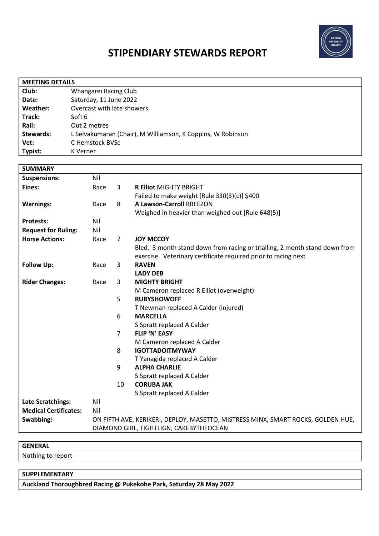

# **STIPENDIARY STEWARDS REPORT**

| <b>MEETING DETAILS</b> |                                                             |  |  |
|------------------------|-------------------------------------------------------------|--|--|
| Club:                  | Whangarei Racing Club                                       |  |  |
| Date:                  | Saturday, 11 June 2022                                      |  |  |
| Weather:               | Overcast with late showers                                  |  |  |
| Track:                 | Soft 6                                                      |  |  |
| Rail:                  | Out 2 metres                                                |  |  |
| Stewards:              | L Selvakumaran (Chair), M Williamson, K Coppins, W Robinson |  |  |
| Vet:                   | C Hemstock BVSc                                             |  |  |
| Typist:                | K Verner                                                    |  |  |

| <b>SUMMARY</b>               |                                                                                  |                |                                                                            |
|------------------------------|----------------------------------------------------------------------------------|----------------|----------------------------------------------------------------------------|
| <b>Suspensions:</b>          | Nil                                                                              |                |                                                                            |
| <b>Fines:</b>                | Race                                                                             | 3              | <b>R Elliot MIGHTY BRIGHT</b>                                              |
|                              |                                                                                  |                | Failed to make weight [Rule 330(3)(c)] \$400                               |
| <b>Warnings:</b>             | Race                                                                             | 8              | <b>A Lawson-Carroll BREEZON</b>                                            |
|                              |                                                                                  |                | Weighed in heavier than weighed out [Rule 648(5)]                          |
| <b>Protests:</b>             | Nil                                                                              |                |                                                                            |
| <b>Request for Ruling:</b>   | Nil                                                                              |                |                                                                            |
| <b>Horse Actions:</b>        | Race                                                                             | $\overline{7}$ | <b>JOY MCCOY</b>                                                           |
|                              |                                                                                  |                | Bled. 3 month stand down from racing or trialling, 2 month stand down from |
|                              |                                                                                  |                | exercise. Veterinary certificate required prior to racing next             |
| <b>Follow Up:</b>            | Race                                                                             | 3              | <b>RAVEN</b>                                                               |
|                              |                                                                                  |                | <b>LADY DEB</b>                                                            |
| <b>Rider Changes:</b>        | Race                                                                             | 3              | <b>MIGHTY BRIGHT</b>                                                       |
|                              |                                                                                  |                | M Cameron replaced R Elliot (overweight)                                   |
|                              |                                                                                  | 5              | <b>RUBYSHOWOFF</b>                                                         |
|                              |                                                                                  |                | T Newman replaced A Calder (injured)                                       |
|                              |                                                                                  | 6              | <b>MARCELLA</b>                                                            |
|                              |                                                                                  |                | S Spratt replaced A Calder                                                 |
|                              |                                                                                  | $\overline{7}$ | <b>FLIP 'N' EASY</b>                                                       |
|                              |                                                                                  |                | M Cameron replaced A Calder                                                |
|                              |                                                                                  | 8              | <b>IGOTTADOITMYWAY</b>                                                     |
|                              |                                                                                  |                | T Yanagida replaced A Calder                                               |
|                              |                                                                                  | 9              | <b>ALPHA CHARLIE</b>                                                       |
|                              |                                                                                  |                | S Spratt replaced A Calder                                                 |
|                              |                                                                                  | 10             | <b>CORUBA JAK</b>                                                          |
|                              |                                                                                  |                | S Spratt replaced A Calder                                                 |
| Late Scratchings:            | Nil                                                                              |                |                                                                            |
| <b>Medical Certificates:</b> | Nil                                                                              |                |                                                                            |
| Swabbing:                    | ON FIFTH AVE, KERIKERI, DEPLOY, MASETTO, MISTRESS MINX, SMART ROCKS, GOLDEN HUE, |                |                                                                            |
|                              | DIAMOND GIRL, TIGHTLIGN, CAKEBYTHEOCEAN                                          |                |                                                                            |

#### **GENERAL**

Nothing to report

## **SUPPLEMENTARY**

**Auckland Thoroughbred Racing @ Pukekohe Park, Saturday 28 May 2022**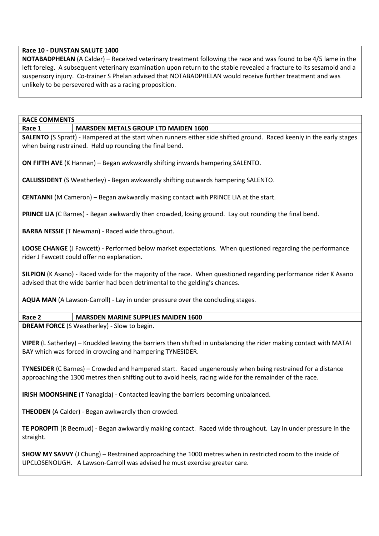## **Race 10 - DUNSTAN SALUTE 1400**

**NOTABADPHELAN** (A Calder) – Received veterinary treatment following the race and was found to be 4/5 lame in the left foreleg. A subsequent veterinary examination upon return to the stable revealed a fracture to its sesamoid and a suspensory injury. Co-trainer S Phelan advised that NOTABADPHELAN would receive further treatment and was unlikely to be persevered with as a racing proposition.

#### **RACE COMMENTS**

**Race 1 MARSDEN METALS GROUP LTD MAIDEN 1600**

**SALENTO** (S Spratt) - Hampered at the start when runners either side shifted ground. Raced keenly in the early stages when being restrained. Held up rounding the final bend.

**ON FIFTH AVE** (K Hannan) – Began awkwardly shifting inwards hampering SALENTO.

**CALLISSIDENT** (S Weatherley) - Began awkwardly shifting outwards hampering SALENTO.

**CENTANNI** (M Cameron) – Began awkwardly making contact with PRINCE LIA at the start.

**PRINCE LIA** (C Barnes) - Began awkwardly then crowded, losing ground. Lay out rounding the final bend.

**BARBA NESSIE** (T Newman) - Raced wide throughout.

**LOOSE CHANGE** (J Fawcett) - Performed below market expectations. When questioned regarding the performance rider J Fawcett could offer no explanation.

**SILPION** (K Asano) - Raced wide for the majority of the race. When questioned regarding performance rider K Asano advised that the wide barrier had been detrimental to the gelding's chances.

**AQUA MAN** (A Lawson-Carroll) - Lay in under pressure over the concluding stages.

## **Race 2 MARSDEN MARINE SUPPLIES MAIDEN 1600**

**DREAM FORCE** (S Weatherley) - Slow to begin.

**VIPER** (L Satherley) – Knuckled leaving the barriers then shifted in unbalancing the rider making contact with MATAI BAY which was forced in crowding and hampering TYNESIDER.

**TYNESIDER** (C Barnes) – Crowded and hampered start. Raced ungenerously when being restrained for a distance approaching the 1300 metres then shifting out to avoid heels, racing wide for the remainder of the race.

**IRISH MOONSHINE** (T Yanagida) - Contacted leaving the barriers becoming unbalanced.

**THEODEN** (A Calder) - Began awkwardly then crowded.

**TE POROPITI** (R Beemud) - Began awkwardly making contact. Raced wide throughout. Lay in under pressure in the straight.

**SHOW MY SAVVY** (J Chung) – Restrained approaching the 1000 metres when in restricted room to the inside of UPCLOSENOUGH. A Lawson-Carroll was advised he must exercise greater care.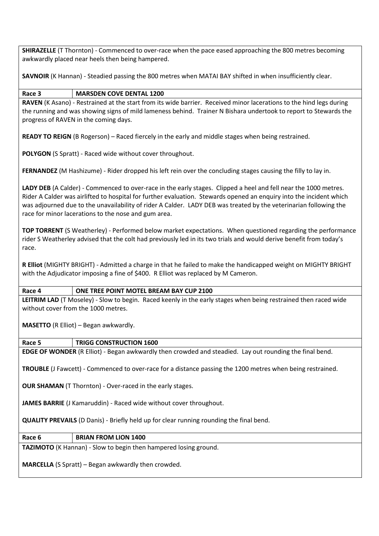**SHIRAZELLE** (T Thornton) - Commenced to over-race when the pace eased approaching the 800 metres becoming awkwardly placed near heels then being hampered.

**SAVNOIR** (K Hannan) - Steadied passing the 800 metres when MATAI BAY shifted in when insufficiently clear.

## **Race 3 MARSDEN COVE DENTAL 1200**

**RAVEN** (K Asano) - Restrained at the start from its wide barrier. Received minor lacerations to the hind legs during the running and was showing signs of mild lameness behind. Trainer N Bishara undertook to report to Stewards the progress of RAVEN in the coming days.

**READY TO REIGN** (B Rogerson) – Raced fiercely in the early and middle stages when being restrained.

**POLYGON** (S Spratt) - Raced wide without cover throughout.

**FERNANDEZ** (M Hashizume) - Rider dropped his left rein over the concluding stages causing the filly to lay in.

**LADY DEB** (A Calder) - Commenced to over-race in the early stages. Clipped a heel and fell near the 1000 metres. Rider A Calder was airlifted to hospital for further evaluation. Stewards opened an enquiry into the incident which was adjourned due to the unavailability of rider A Calder. LADY DEB was treated by the veterinarian following the race for minor lacerations to the nose and gum area.

**TOP TORRENT** (S Weatherley) - Performed below market expectations. When questioned regarding the performance rider S Weatherley advised that the colt had previously led in its two trials and would derive benefit from today's race.

**R Elliot** (MIGHTY BRIGHT) - Admitted a charge in that he failed to make the handicapped weight on MIGHTY BRIGHT with the Adjudicator imposing a fine of \$400. R Elliot was replaced by M Cameron.

#### **Race 4 ONE TREE POINT MOTEL BREAM BAY CUP 2100**

**LEITRIM LAD** (T Moseley) - Slow to begin. Raced keenly in the early stages when being restrained then raced wide without cover from the 1000 metres.

**MASETTO** (R Elliot) – Began awkwardly.

#### **Race 5 TRIGG CONSTRUCTION 1600**

**EDGE OF WONDER** (R Elliot) - Began awkwardly then crowded and steadied. Lay out rounding the final bend.

**TROUBLE** (J Fawcett) - Commenced to over-race for a distance passing the 1200 metres when being restrained.

**OUR SHAMAN** (T Thornton) - Over-raced in the early stages.

**JAMES BARRIE** (J Kamaruddin) - Raced wide without cover throughout.

**QUALITY PREVAILS** (D Danis) - Briefly held up for clear running rounding the final bend.

## **Race 6 BRIAN FROM LION 1400**

**TAZIMOTO** (K Hannan) - Slow to begin then hampered losing ground.

**MARCELLA** (S Spratt) – Began awkwardly then crowded.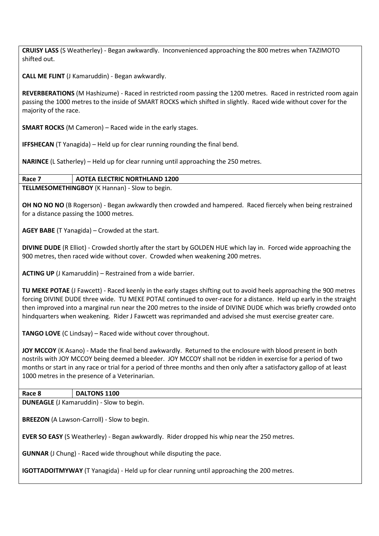**CRUISY LASS** (S Weatherley) - Began awkwardly. Inconvenienced approaching the 800 metres when TAZIMOTO shifted out.

**CALL ME FLINT** (J Kamaruddin) - Began awkwardly.

**REVERBERATIONS** (M Hashizume) - Raced in restricted room passing the 1200 metres. Raced in restricted room again passing the 1000 metres to the inside of SMART ROCKS which shifted in slightly. Raced wide without cover for the majority of the race.

**SMART ROCKS** (M Cameron) – Raced wide in the early stages.

**IFFSHECAN** (T Yanagida) – Held up for clear running rounding the final bend.

**NARINCE** (L Satherley) – Held up for clear running until approaching the 250 metres.

## **Race 7 AOTEA ELECTRIC NORTHLAND 1200**

**TELLMESOMETHINGBOY** (K Hannan) - Slow to begin.

**OH NO NO NO** (B Rogerson) - Began awkwardly then crowded and hampered. Raced fiercely when being restrained for a distance passing the 1000 metres.

**AGEY BABE** (T Yanagida) – Crowded at the start.

**DIVINE DUDE** (R Elliot) - Crowded shortly after the start by GOLDEN HUE which lay in. Forced wide approaching the 900 metres, then raced wide without cover. Crowded when weakening 200 metres.

**ACTING UP** (J Kamaruddin) – Restrained from a wide barrier.

**TU MEKE POTAE** (J Fawcett) - Raced keenly in the early stages shifting out to avoid heels approaching the 900 metres forcing DIVINE DUDE three wide. TU MEKE POTAE continued to over-race for a distance. Held up early in the straight then improved into a marginal run near the 200 metres to the inside of DIVINE DUDE which was briefly crowded onto hindquarters when weakening. Rider J Fawcett was reprimanded and advised she must exercise greater care.

**TANGO LOVE** (C Lindsay) – Raced wide without cover throughout.

**JOY MCCOY** (K Asano) - Made the final bend awkwardly. Returned to the enclosure with blood present in both nostrils with JOY MCCOY being deemed a bleeder. JOY MCCOY shall not be ridden in exercise for a period of two months or start in any race or trial for a period of three months and then only after a satisfactory gallop of at least 1000 metres in the presence of a Veterinarian.

**Race 8 DALTONS 1100**

**DUNEAGLE** (J Kamaruddin) - Slow to begin.

**BREEZON** (A Lawson-Carroll) - Slow to begin.

**EVER SO EASY** (S Weatherley) - Began awkwardly. Rider dropped his whip near the 250 metres.

**GUNNAR** (J Chung) - Raced wide throughout while disputing the pace.

**IGOTTADOITMYWAY** (T Yanagida) - Held up for clear running until approaching the 200 metres.